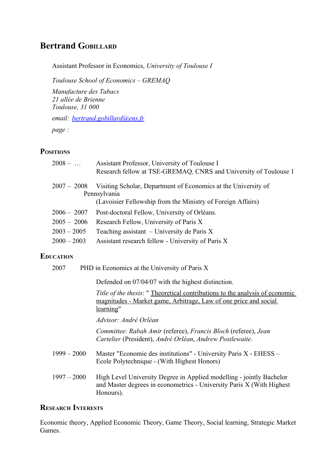# **Bertrand GOBILLARD**

Assistant Professor in Economics, *University of Toulouse I*

*Toulouse School of Economics – GREMAQ*

*Manufacture des Tabacs 21 allée de Brienne Toulouse, 31 000*

*email: [bertrand.gobillard@ens.fr](mailto:bertrand.gobillard@ens.fr)*

*page :* 

# **POSITIONS**

| $2008 - $     | Assistant Professor, University of Toulouse I<br>Research fellow at TSE-GREMAQ, CNRS and University of Toulouse 1                             |
|---------------|-----------------------------------------------------------------------------------------------------------------------------------------------|
| $2007 - 2008$ | Visiting Scholar, Department of Economics at the University of<br>Pennsylvania<br>(Lavoisier Fellowship from the Ministry of Foreign Affairs) |
| $2006 - 2007$ | Post-doctoral Fellow, University of Orléans.                                                                                                  |
| $2005 - 2006$ | Research Fellow, University of Paris X                                                                                                        |
| $2003 - 2005$ | Teaching assistant $-$ University de Paris X                                                                                                  |
| $2000 - 2003$ | Assistant research fellow - University of Paris X                                                                                             |
|               |                                                                                                                                               |

# **EDUCATION**

2007 PHD in Economics at the University of Paris X

Defended on 07/04/07 with the highest distinction.

*Title of the thesis*: " Theoretical contributions to the analysis of economic magnitudes - Market game, Arbitrage, Law of one price and social learning"

*Advisor: André Orléan*

*Committee*: *Rabah Amir* (referee), *Francis Bloch* (referee), *Jean Cartelier* (President), *André Orléan*, *Andrew Postlewaite*.

- 1999 2000 Master "Economie des institutions" University Paris X EHESS Ecole Polytechnique - (With Highest Honors)
- 1997 2000 High Level University Degree in Applied modelling jointly Bachelor and Master degrees in econometrics - University Paris X (With Highest Honours).

# **RESEARCH INTERESTS**

Economic theory, Applied Economic Theory, Game Theory, Social learning, Strategic Market Games.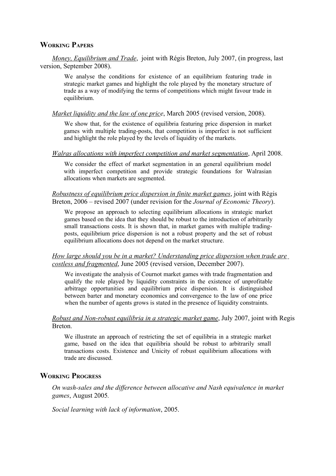### **WORKING PAPERS**

*Money, Equilibrium and Trade*, joint with Régis Breton, July 2007, (in progress, last version, September 2008).

We analyse the conditions for existence of an equilibrium featuring trade in strategic market games and highlight the role played by the monetary structure of trade as a way of modifying the terms of competitions which might favour trade in equilibrium.

#### *Market liquidity and the law of one price*, March 2005 (revised version, 2008).

We show that, for the existence of equilibria featuring price dispersion in market games with multiple trading-posts, that competition is imperfect is not sufficient and highlight the role played by the levels of liquidity of the markets.

#### *Walras allocations with imperfect competition and market segmentation*, April 2008.

We consider the effect of market segmentation in an general equilibrium model with imperfect competition and provide strategic foundations for Walrasian allocations when markets are segmented.

### *Robustness of equilibrium price dispersion in finite market games*, joint with Régis Breton, 2006 – revised 2007 (under revision for the *Journal of Economic Theory*).

We propose an approach to selecting equilibrium allocations in strategic market games based on the idea that they should be robust to the introduction of arbitrarily small transactions costs. It is shown that, in market games with multiple tradingposts, equilibrium price dispersion is not a robust property and the set of robust equilibrium allocations does not depend on the market structure.

### *How large should you be in a market? Understanding price dispersion when trade are costless and fragmented*, June 2005 (revised version, December 2007).

We investigate the analysis of Cournot market games with trade fragmentation and qualify the role played by liquidity constraints in the existence of unprofitable arbitrage opportunities and equilibrium price dispersion. It is distinguished between barter and monetary economics and convergence to the law of one price when the number of agents grows is stated in the presence of liquidity constraints.

### *Robust and Non-robust equilibria in a strategic market game*, July 2007, joint with Regis Breton.

We illustrate an approach of restricting the set of equilibria in a strategic market game, based on the idea that equilibria should be robust to arbitrarily small transactions costs. Existence and Unicity of robust equilibrium allocations with trade are discussed.

# **WORKING PROGRESS**

*On wash-sales and the difference between allocative and Nash equivalence in market games*, August 2005*.* 

*Social learning with lack of information*, 2005.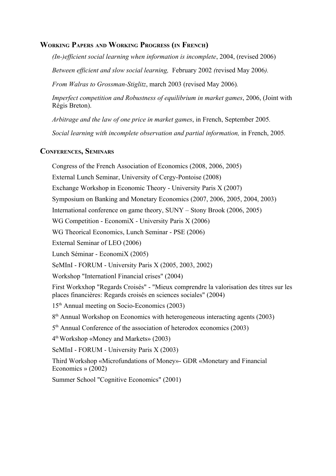# **WORKING PAPERS AND WORKING PROGRESS (IN FRENCH)**

*(In-)efficient social learning when information is incomplete*, 2004, (revised 2006)

*Between efficient and slow social learning,* February 2002 *(*revised May 2006*).*

*From Walras to Grossman-Stiglitz*, march 2003 (revised May 2006)*.*

*Imperfect competition and Robustness of equilibrium in market games*, 2006, (Joint with Régis Breton).

*Arbitrage and the law of one price in market games*, in French, September 2005*.*

*Social learning with incomplete observation and partial information,* in French, 2005*.* 

# **CONFERENCES, SEMINARS**

Congress of the French Association of Economics (2008, 2006, 2005)

External Lunch Seminar, University of Cergy-Pontoise (2008)

Exchange Workshop in Economic Theory - University Paris X (2007)

Symposium on Banking and Monetary Economics (2007, 2006, 2005, 2004, 2003)

International conference on game theory, SUNY – Stony Brook (2006, 2005)

WG Competition - EconomiX - University Paris X (2006)

WG Theorical Economics, Lunch Seminar - PSE (2006)

External Seminar of LEO (2006)

Lunch Séminar - EconomiX (2005)

SeMInI - FORUM - University Paris X (2005, 2003, 2002)

Workshop "Internationl Financial crises" (2004)

First Workxhop "Regards Croisés" - "Mieux comprendre la valorisation des titres sur les places financières: Regards croisés en sciences sociales" (2004)

15th Annual meeting on Socio-Economics (2003)

8<sup>th</sup> Annual Workshop on Economics with heterogeneous interacting agents (2003)

5<sup>th</sup> Annual Conference of the association of heterodox economics (2003)

4 th Workshop «Money and Markets» (2003)

SeMInI - FORUM - University Paris X (2003)

Third Workshop «Microfundations of Money»- GDR «Monetary and Financial Economics » (2002)

Summer School "Cognitive Economics" (2001)